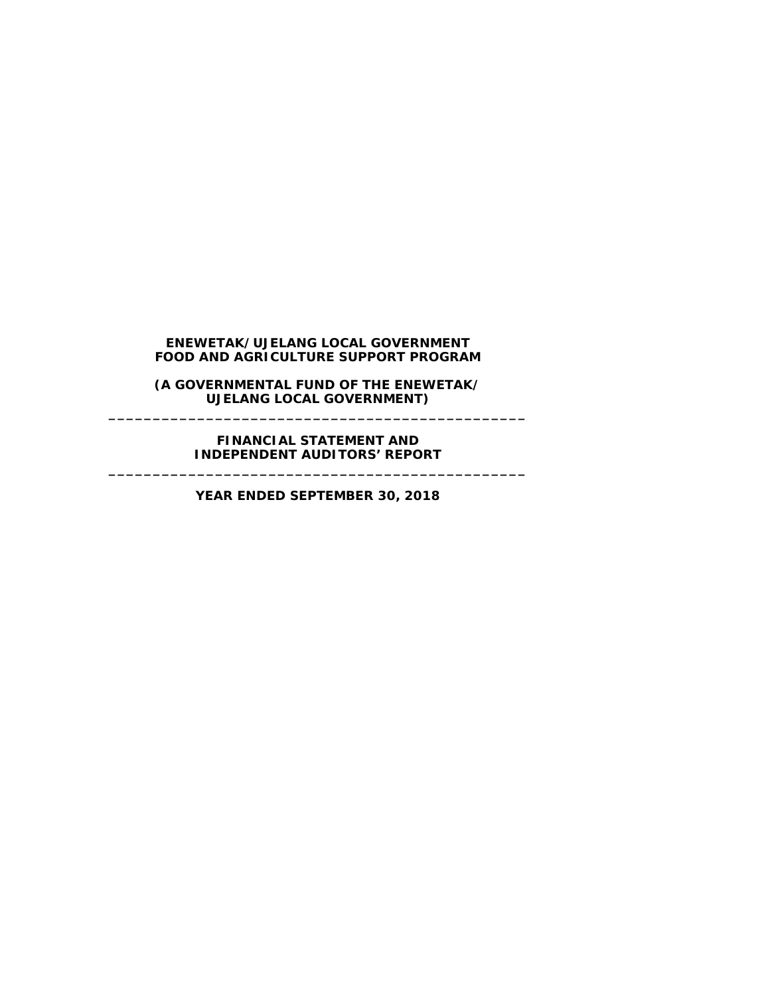**(A GOVERNMENTAL FUND OF THE ENEWETAK/ UJELANG LOCAL GOVERNMENT) \_\_\_\_\_\_\_\_\_\_\_\_\_\_\_\_\_\_\_\_\_\_\_\_\_\_\_\_\_\_\_\_\_\_\_\_\_\_\_\_\_\_\_\_\_\_\_**

**FINANCIAL STATEMENT AND INDEPENDENT AUDITORS' REPORT \_\_\_\_\_\_\_\_\_\_\_\_\_\_\_\_\_\_\_\_\_\_\_\_\_\_\_\_\_\_\_\_\_\_\_\_\_\_\_\_\_\_\_\_\_\_\_**

**YEAR ENDED SEPTEMBER 30, 2018**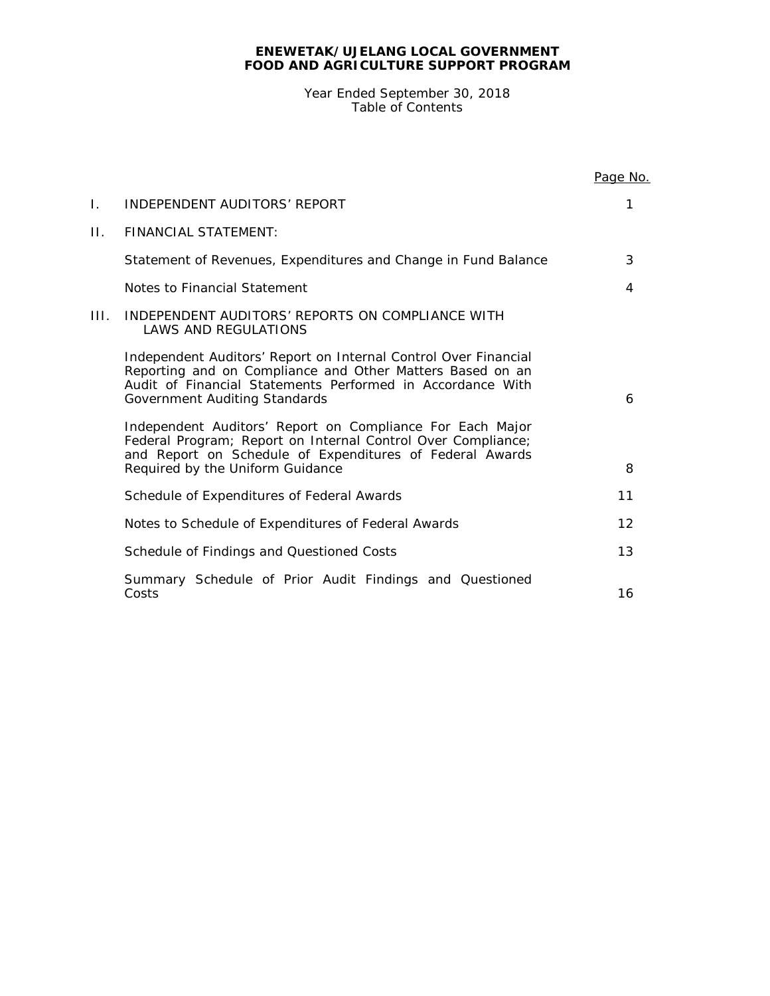Year Ended September 30, 2018 Table of Contents

|      |                                                                                                                                                                                                                             | Page No. |
|------|-----------------------------------------------------------------------------------------------------------------------------------------------------------------------------------------------------------------------------|----------|
| Ι.   | INDEPENDENT AUDITORS' REPORT                                                                                                                                                                                                | 1        |
| Н.   | <b>FINANCIAL STATEMENT:</b>                                                                                                                                                                                                 |          |
|      | Statement of Revenues, Expenditures and Change in Fund Balance                                                                                                                                                              | 3        |
|      | Notes to Financial Statement                                                                                                                                                                                                | 4        |
| III. | INDEPENDENT AUDITORS' REPORTS ON COMPLIANCE WITH<br>LAWS AND REGULATIONS                                                                                                                                                    |          |
|      | Independent Auditors' Report on Internal Control Over Financial<br>Reporting and on Compliance and Other Matters Based on an<br>Audit of Financial Statements Performed in Accordance With<br>Government Auditing Standards | 6        |
|      | Independent Auditors' Report on Compliance For Each Major<br>Federal Program; Report on Internal Control Over Compliance;<br>and Report on Schedule of Expenditures of Federal Awards<br>Required by the Uniform Guidance   | 8        |
|      | Schedule of Expenditures of Federal Awards                                                                                                                                                                                  | 11       |
|      | Notes to Schedule of Expenditures of Federal Awards                                                                                                                                                                         | 12       |
|      | Schedule of Findings and Questioned Costs                                                                                                                                                                                   | 13       |
|      | Summary Schedule of Prior Audit Findings and Questioned<br>Costs                                                                                                                                                            | 16       |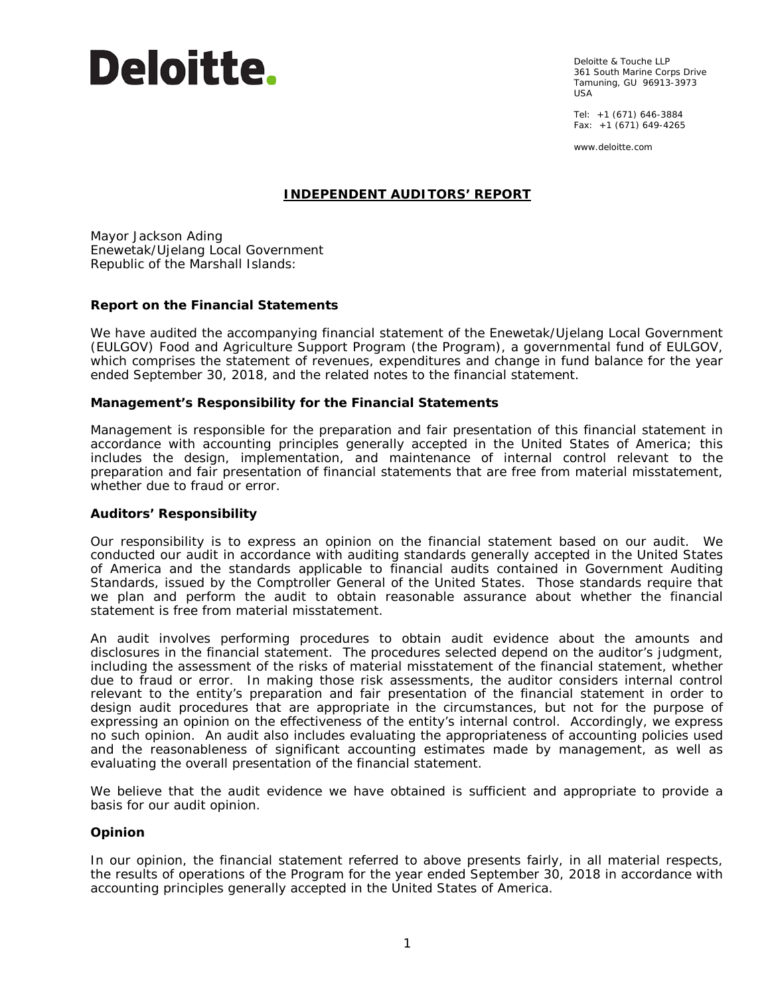

Deloitte & Touche LLP 361 South Marine Corps Drive Tamuning, GU 96913-3973 USA

Tel: +1 (671) 646-3884 Fax: +1 (671) 649-4265

www.deloitte.com

# **INDEPENDENT AUDITORS' REPORT**

Mayor Jackson Ading Enewetak/Ujelang Local Government Republic of the Marshall Islands:

# **Report on the Financial Statements**

We have audited the accompanying financial statement of the Enewetak/Ujelang Local Government (EULGOV) Food and Agriculture Support Program (the Program), a governmental fund of EULGOV, which comprises the statement of revenues, expenditures and change in fund balance for the year ended September 30, 2018, and the related notes to the financial statement.

#### *Management's Responsibility for the Financial Statements*

Management is responsible for the preparation and fair presentation of this financial statement in accordance with accounting principles generally accepted in the United States of America; this includes the design, implementation, and maintenance of internal control relevant to the preparation and fair presentation of financial statements that are free from material misstatement, whether due to fraud or error.

#### *Auditors' Responsibility*

Our responsibility is to express an opinion on the financial statement based on our audit. We conducted our audit in accordance with auditing standards generally accepted in the United States of America and the standards applicable to financial audits contained in *Government Auditing Standards*, issued by the Comptroller General of the United States. Those standards require that we plan and perform the audit to obtain reasonable assurance about whether the financial statement is free from material misstatement.

An audit involves performing procedures to obtain audit evidence about the amounts and disclosures in the financial statement. The procedures selected depend on the auditor's judgment, including the assessment of the risks of material misstatement of the financial statement, whether due to fraud or error. In making those risk assessments, the auditor considers internal control relevant to the entity's preparation and fair presentation of the financial statement in order to design audit procedures that are appropriate in the circumstances, but not for the purpose of expressing an opinion on the effectiveness of the entity's internal control. Accordingly, we express no such opinion. An audit also includes evaluating the appropriateness of accounting policies used and the reasonableness of significant accounting estimates made by management, as well as evaluating the overall presentation of the financial statement.

We believe that the audit evidence we have obtained is sufficient and appropriate to provide a basis for our audit opinion.

# *Opinion*

In our opinion, the financial statement referred to above presents fairly, in all material respects, the results of operations of the Program for the year ended September 30, 2018 in accordance with accounting principles generally accepted in the United States of America.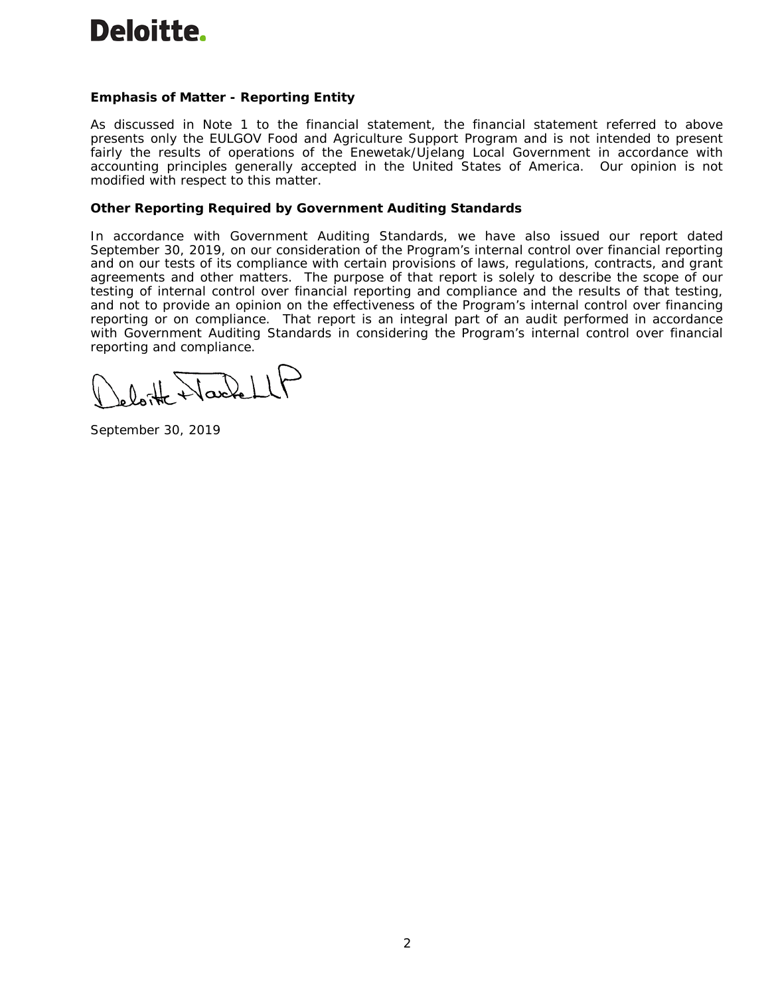

# **Emphasis of Matter - Reporting Entity**

As discussed in Note 1 to the financial statement, the financial statement referred to above presents only the EULGOV Food and Agriculture Support Program and is not intended to present fairly the results of operations of the Enewetak/Ujelang Local Government in accordance with accounting principles generally accepted in the United States of America. Our opinion is not modified with respect to this matter.

#### **Other Reporting Required by** *Government Auditing Standards*

In accordance with *Government Auditing Standards*, we have also issued our report dated September 30, 2019, on our consideration of the Program's internal control over financial reporting and on our tests of its compliance with certain provisions of laws, regulations, contracts, and grant agreements and other matters. The purpose of that report is solely to describe the scope of our testing of internal control over financial reporting and compliance and the results of that testing, and not to provide an opinion on the effectiveness of the Program's internal control over financing reporting or on compliance. That report is an integral part of an audit performed in accordance with *Government Auditing Standards* in considering the Program's internal control over financial reporting and compliance.

bitte Nachell

September 30, 2019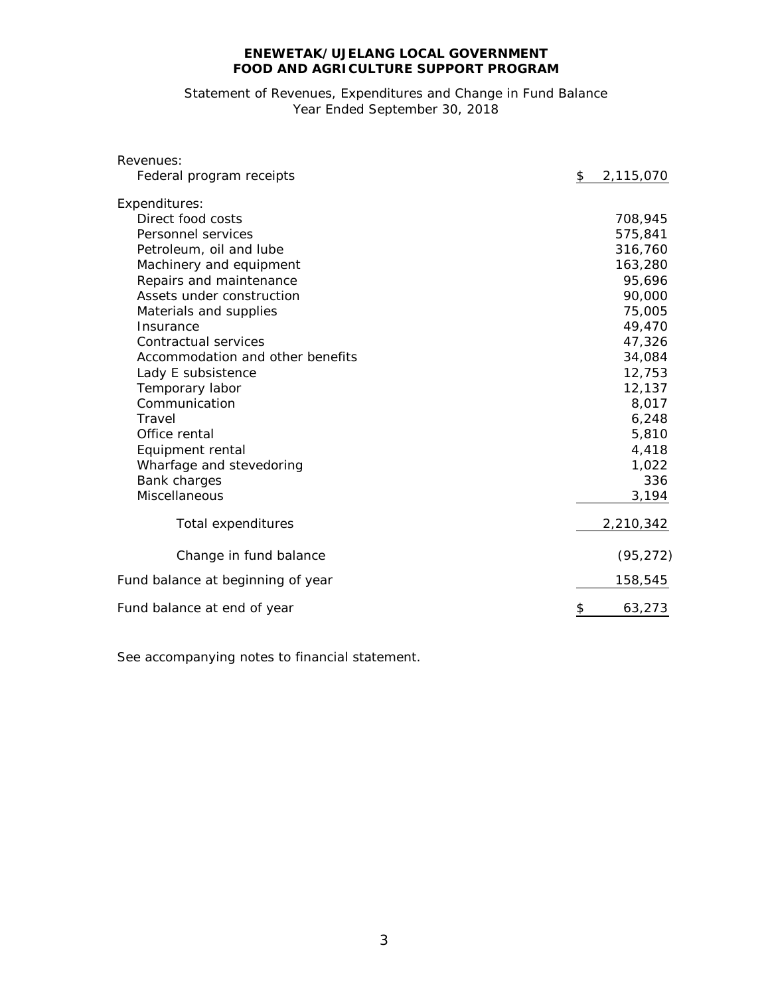# Statement of Revenues, Expenditures and Change in Fund Balance Year Ended September 30, 2018

| Revenues:                         |                 |
|-----------------------------------|-----------------|
| Federal program receipts          | \$<br>2,115,070 |
| Expenditures:                     |                 |
| Direct food costs                 | 708,945         |
| Personnel services                | 575,841         |
| Petroleum, oil and lube           | 316,760         |
| Machinery and equipment           | 163,280         |
| Repairs and maintenance           | 95,696          |
| Assets under construction         | 90,000          |
| Materials and supplies            | 75,005          |
| Insurance                         | 49,470          |
| Contractual services              | 47,326          |
| Accommodation and other benefits  | 34,084          |
| Lady E subsistence                | 12,753          |
| Temporary labor                   | 12,137          |
| Communication                     | 8,017           |
| Travel                            | 6,248           |
| Office rental                     | 5,810           |
| Equipment rental                  | 4,418           |
| Wharfage and stevedoring          | 1,022           |
| Bank charges                      | 336             |
| Miscellaneous                     | 3,194           |
| Total expenditures                | 2,210,342       |
| Change in fund balance            | (95, 272)       |
| Fund balance at beginning of year | 158,545         |
| Fund balance at end of year       | \$<br>63,273    |

See accompanying notes to financial statement.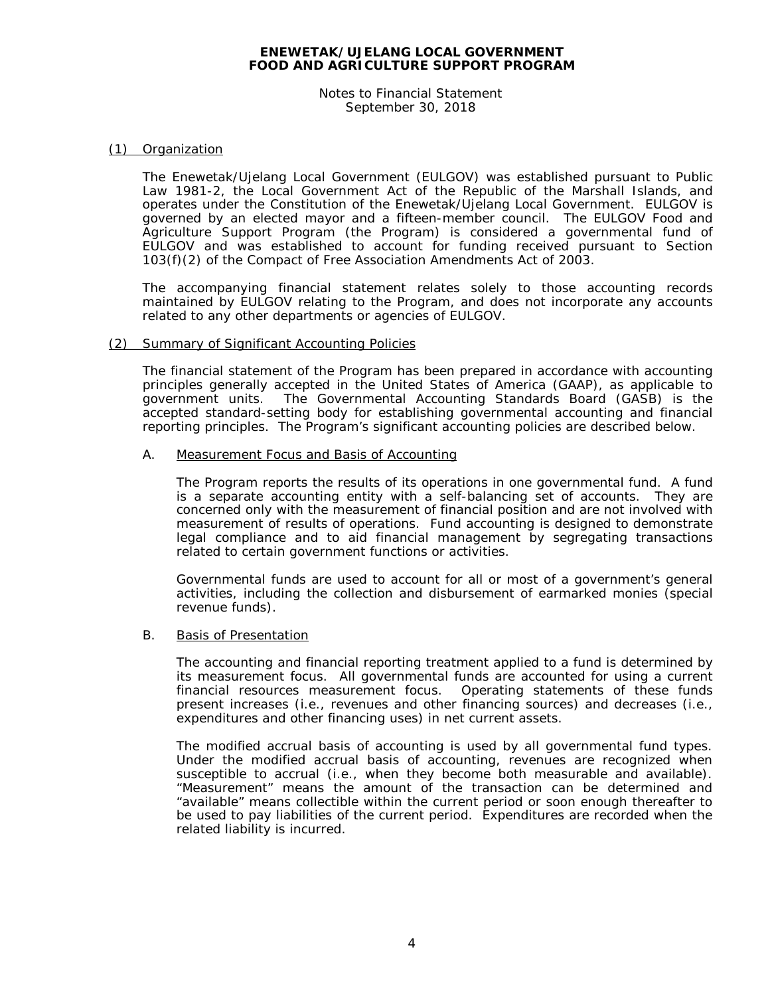Notes to Financial Statement September 30, 2018

#### (1) Organization

The Enewetak/Ujelang Local Government (EULGOV) was established pursuant to Public Law 1981-2, the Local Government Act of the Republic of the Marshall Islands, and operates under the Constitution of the Enewetak/Ujelang Local Government. EULGOV is governed by an elected mayor and a fifteen-member council. The EULGOV Food and Agriculture Support Program (the Program) is considered a governmental fund of EULGOV and was established to account for funding received pursuant to Section 103(f)(2) of the Compact of Free Association Amendments Act of 2003.

The accompanying financial statement relates solely to those accounting records maintained by EULGOV relating to the Program, and does not incorporate any accounts related to any other departments or agencies of EULGOV.

#### (2) Summary of Significant Accounting Policies

The financial statement of the Program has been prepared in accordance with accounting principles generally accepted in the United States of America (GAAP), as applicable to government units. The Governmental Accounting Standards Board (GASB) is the accepted standard-setting body for establishing governmental accounting and financial reporting principles. The Program's significant accounting policies are described below.

#### A. Measurement Focus and Basis of Accounting

The Program reports the results of its operations in one governmental fund. A fund is a separate accounting entity with a self-balancing set of accounts. They are concerned only with the measurement of financial position and are not involved with measurement of results of operations. Fund accounting is designed to demonstrate legal compliance and to aid financial management by segregating transactions related to certain government functions or activities.

Governmental funds are used to account for all or most of a government's general activities, including the collection and disbursement of earmarked monies (special revenue funds).

#### B. Basis of Presentation

The accounting and financial reporting treatment applied to a fund is determined by its measurement focus. All governmental funds are accounted for using a current Operating statements of these funds present increases (i.e., revenues and other financing sources) and decreases (i.e., expenditures and other financing uses) in net current assets.

The modified accrual basis of accounting is used by all governmental fund types. Under the modified accrual basis of accounting, revenues are recognized when susceptible to accrual (i.e., when they become both measurable and available). "Measurement" means the amount of the transaction can be determined and "available" means collectible within the current period or soon enough thereafter to be used to pay liabilities of the current period. Expenditures are recorded when the related liability is incurred.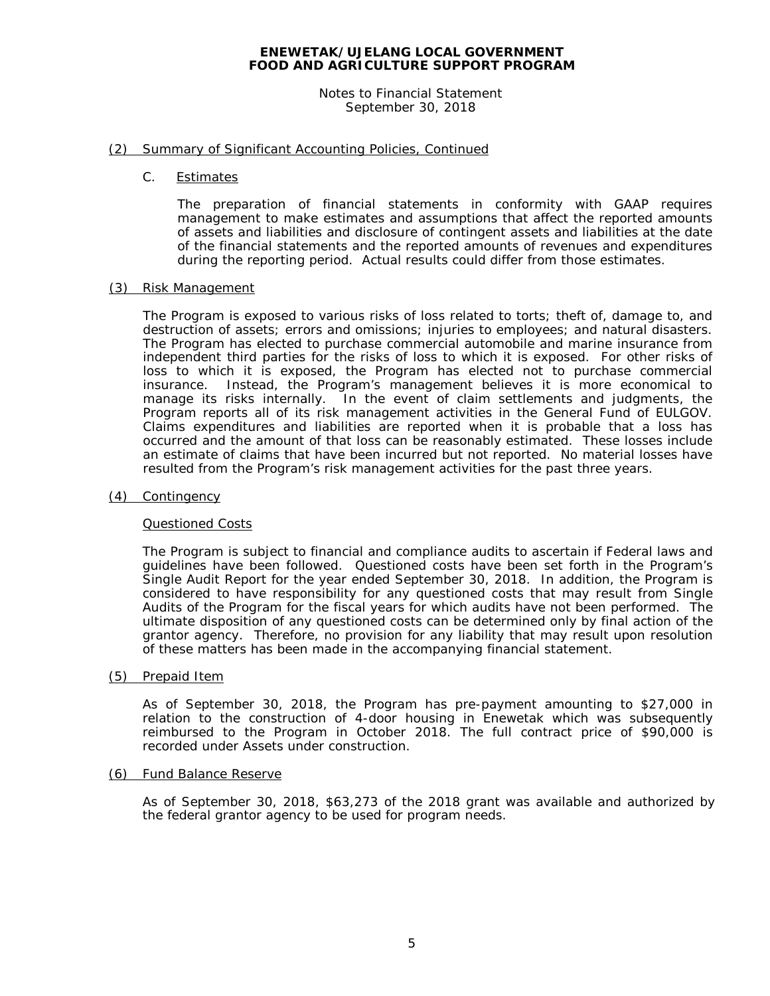Notes to Financial Statement September 30, 2018

#### (2) Summary of Significant Accounting Policies, Continued

C. Estimates

The preparation of financial statements in conformity with GAAP requires management to make estimates and assumptions that affect the reported amounts of assets and liabilities and disclosure of contingent assets and liabilities at the date of the financial statements and the reported amounts of revenues and expenditures during the reporting period. Actual results could differ from those estimates.

#### (3) Risk Management

The Program is exposed to various risks of loss related to torts; theft of, damage to, and destruction of assets; errors and omissions; injuries to employees; and natural disasters. The Program has elected to purchase commercial automobile and marine insurance from independent third parties for the risks of loss to which it is exposed. For other risks of loss to which it is exposed, the Program has elected not to purchase commercial insurance. Instead, the Program's management believes it is more economical to manage its risks internally. In the event of claim settlements and judgments, the Program reports all of its risk management activities in the General Fund of EULGOV. Claims expenditures and liabilities are reported when it is probable that a loss has occurred and the amount of that loss can be reasonably estimated. These losses include an estimate of claims that have been incurred but not reported. No material losses have resulted from the Program's risk management activities for the past three years.

#### (4) Contingency

#### Questioned Costs

The Program is subject to financial and compliance audits to ascertain if Federal laws and guidelines have been followed. Questioned costs have been set forth in the Program's Single Audit Report for the year ended September 30, 2018. In addition, the Program is considered to have responsibility for any questioned costs that may result from Single Audits of the Program for the fiscal years for which audits have not been performed. The ultimate disposition of any questioned costs can be determined only by final action of the grantor agency. Therefore, no provision for any liability that may result upon resolution of these matters has been made in the accompanying financial statement.

#### (5) Prepaid Item

As of September 30, 2018, the Program has pre-payment amounting to \$27,000 in relation to the construction of 4-door housing in Enewetak which was subsequently reimbursed to the Program in October 2018. The full contract price of \$90,000 is recorded under Assets under construction.

#### (6) Fund Balance Reserve

As of September 30, 2018, \$63,273 of the 2018 grant was available and authorized by the federal grantor agency to be used for program needs.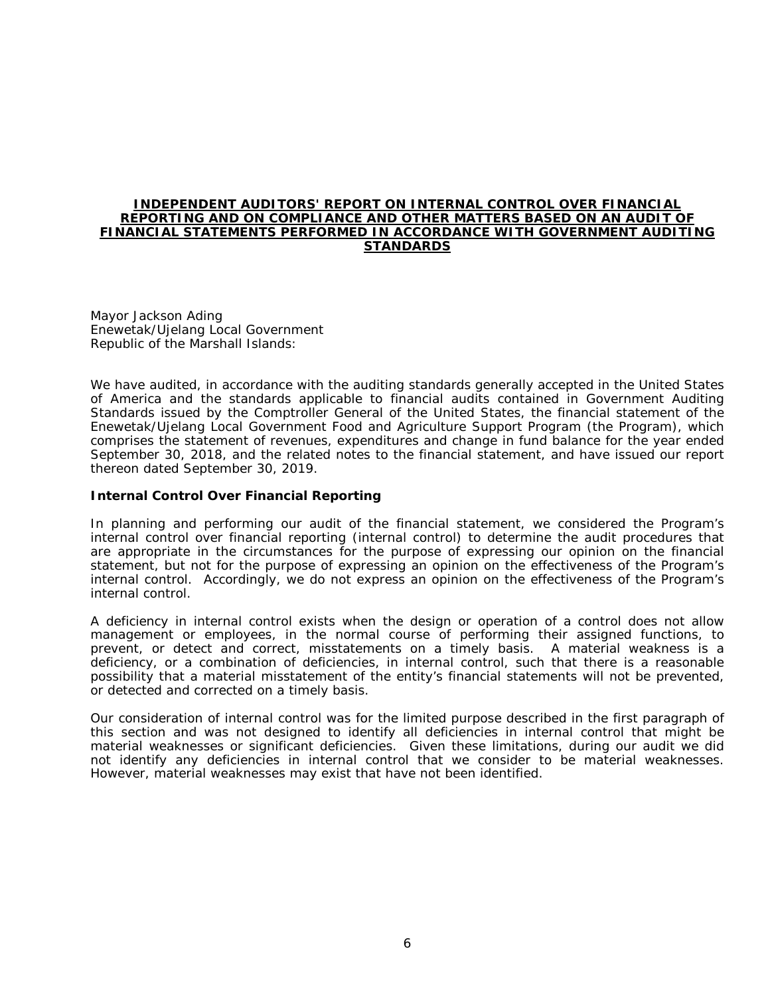#### **INDEPENDENT AUDITORS' REPORT ON INTERNAL CONTROL OVER FINANCIAL REPORTING AND ON COMPLIANCE AND OTHER MATTERS BASED ON AN AUDIT OF FINANCIAL STATEMENTS PERFORMED IN ACCORDANCE WITH** *GOVERNMENT AUDITING STANDARDS*

Mayor Jackson Ading Enewetak/Ujelang Local Government Republic of the Marshall Islands:

We have audited, in accordance with the auditing standards generally accepted in the United States of America and the standards applicable to financial audits contained in *Government Auditing Standards* issued by the Comptroller General of the United States, the financial statement of the Enewetak/Ujelang Local Government Food and Agriculture Support Program (the Program), which comprises the statement of revenues, expenditures and change in fund balance for the year ended September 30, 2018, and the related notes to the financial statement, and have issued our report thereon dated September 30, 2019.

#### **Internal Control Over Financial Reporting**

In planning and performing our audit of the financial statement, we considered the Program's internal control over financial reporting (internal control) to determine the audit procedures that are appropriate in the circumstances for the purpose of expressing our opinion on the financial statement, but not for the purpose of expressing an opinion on the effectiveness of the Program's internal control. Accordingly, we do not express an opinion on the effectiveness of the Program's internal control.

A *deficiency in internal control* exists when the design or operation of a control does not allow management or employees, in the normal course of performing their assigned functions, to prevent, or detect and correct, misstatements on a timely basis. A *material weakness* is a deficiency, or a combination of deficiencies, in internal control, such that there is a reasonable possibility that a material misstatement of the entity's financial statements will not be prevented, or detected and corrected on a timely basis.

Our consideration of internal control was for the limited purpose described in the first paragraph of this section and was not designed to identify all deficiencies in internal control that might be material weaknesses or significant deficiencies. Given these limitations, during our audit we did not identify any deficiencies in internal control that we consider to be material weaknesses. However, material weaknesses may exist that have not been identified.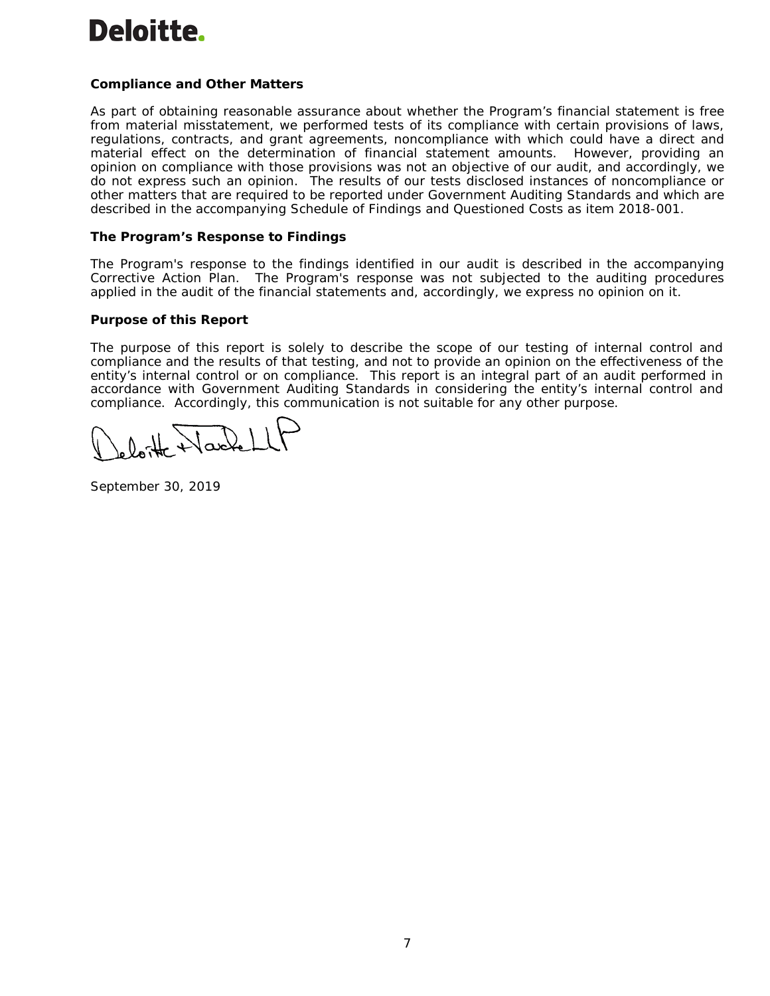# **Compliance and Other Matters**

As part of obtaining reasonable assurance about whether the Program's financial statement is free from material misstatement, we performed tests of its compliance with certain provisions of laws, regulations, contracts, and grant agreements, noncompliance with which could have a direct and material effect on the determination of financial statement amounts. However, providing an opinion on compliance with those provisions was not an objective of our audit, and accordingly, we do not express such an opinion. The results of our tests disclosed instances of noncompliance or other matters that are required to be reported under *Government Auditing Standards* and which are described in the accompanying Schedule of Findings and Questioned Costs as item 2018-001.

### **The Program's Response to Findings**

The Program's response to the findings identified in our audit is described in the accompanying Corrective Action Plan. The Program's response was not subjected to the auditing procedures applied in the audit of the financial statements and, accordingly, we express no opinion on it.

# **Purpose of this Report**

The purpose of this report is solely to describe the scope of our testing of internal control and compliance and the results of that testing, and not to provide an opinion on the effectiveness of the entity's internal control or on compliance. This report is an integral part of an audit performed in accordance with *Government Auditing Standards* in considering the entity's internal control and compliance. Accordingly, this communication is not suitable for any other purpose.

loite Wach

September 30, 2019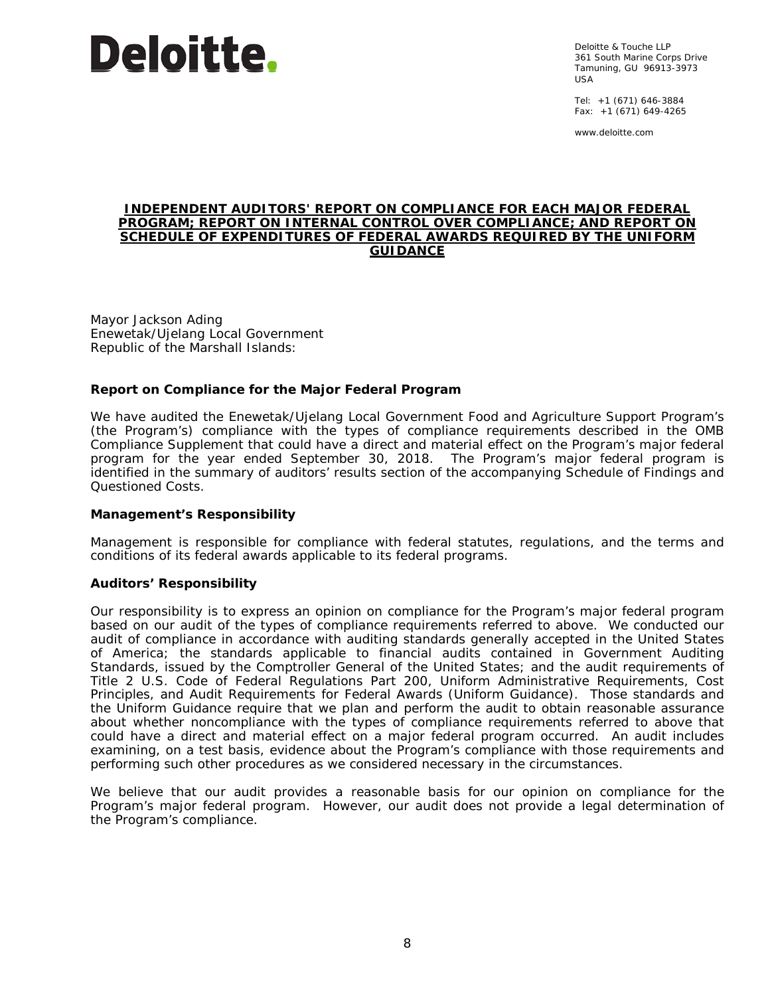Deloitte & Touche LLP Deloitte & Touche LLP 361 South Marine Corps Drive 361 South Marine Corps Drive Tamuning, GU 96913-3973 Tamuning, GU 96913-3973 USA USA

Tel: +1 (671) 646-3884 Tel: +1 (671) 646-3884 Fax: +1 (671) 649-4265 Fax: +1 (671) 649-4265

www.deloitte.com www.deloitte.com

#### **INDEPENDENT AUDITORS' REPORT ON COMPLIANCE FOR EACH MAJOR FEDERAL PROGRAM; REPORT ON INTERNAL CONTROL OVER COMPLIANCE; AND REPORT ON SCHEDULE OF EXPENDITURES OF FEDERAL AWARDS REQUIRED BY THE UNIFORM GUIDANCE**

Mayor Jackson Ading Enewetak/Ujelang Local Government Republic of the Marshall Islands:

# **Report on Compliance for the Major Federal Program**

We have audited the Enewetak/Ujelang Local Government Food and Agriculture Support Program's (the Program's) compliance with the types of compliance requirements described in the *OMB Compliance Supplement* that could have a direct and material effect on the Program's major federal program for the year ended September 30, 2018. The Program's major federal program is identified in the summary of auditors' results section of the accompanying Schedule of Findings and Questioned Costs.

#### *Management's Responsibility*

Management is responsible for compliance with federal statutes, regulations, and the terms and conditions of its federal awards applicable to its federal programs.

#### *Auditors' Responsibility*

Our responsibility is to express an opinion on compliance for the Program's major federal program based on our audit of the types of compliance requirements referred to above. We conducted our audit of compliance in accordance with auditing standards generally accepted in the United States of America; the standards applicable to financial audits contained in *Government Auditing Standards*, issued by the Comptroller General of the United States; and the audit requirements of Title 2 U.S. *Code of Federal Regulations* Part 200, *Uniform Administrative Requirements, Cost Principles, and Audit Requirements for Federal Awards* (Uniform Guidance). Those standards and the Uniform Guidance require that we plan and perform the audit to obtain reasonable assurance about whether noncompliance with the types of compliance requirements referred to above that could have a direct and material effect on a major federal program occurred. An audit includes examining, on a test basis, evidence about the Program's compliance with those requirements and performing such other procedures as we considered necessary in the circumstances.

We believe that our audit provides a reasonable basis for our opinion on compliance for the Program's major federal program. However, our audit does not provide a legal determination of the Program's compliance.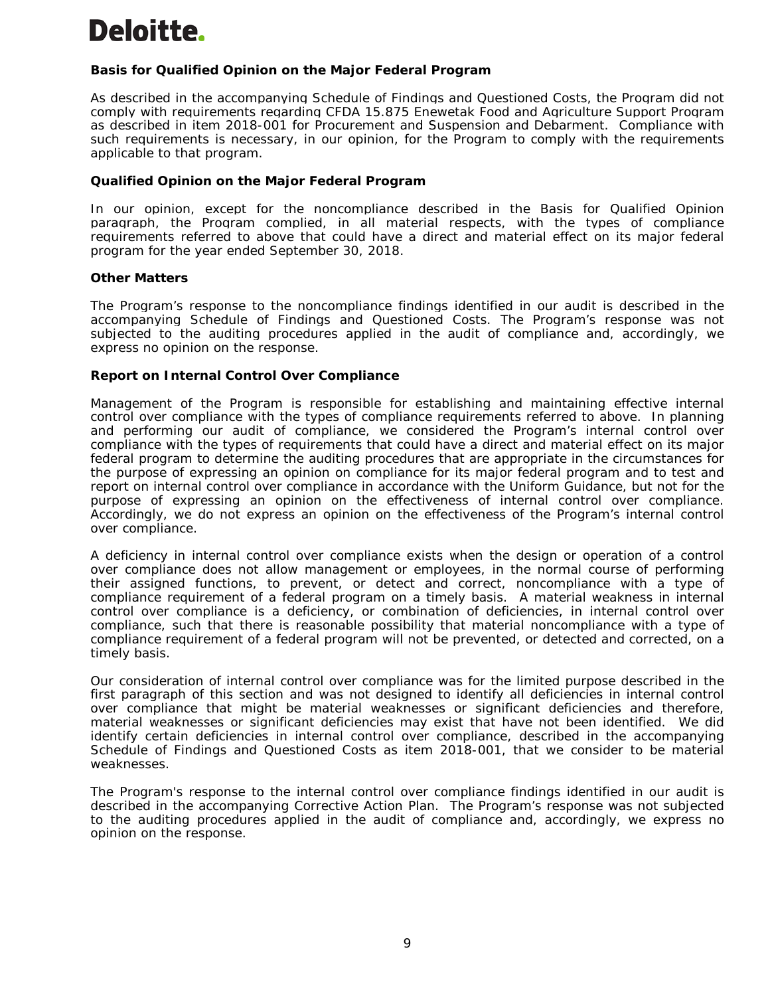# *Basis for Qualified Opinion on the Major Federal Program*

As described in the accompanying Schedule of Findings and Questioned Costs, the Program did not comply with requirements regarding CFDA 15.875 Enewetak Food and Agriculture Support Program as described in item 2018-001 for Procurement and Suspension and Debarment. Compliance with such requirements is necessary, in our opinion, for the Program to comply with the requirements applicable to that program.

# *Qualified Opinion on the Major Federal Program*

In our opinion, except for the noncompliance described in the Basis for Qualified Opinion paragraph, the Program complied, in all material respects, with the types of compliance requirements referred to above that could have a direct and material effect on its major federal program for the year ended September 30, 2018.

# *Other Matters*

The Program's response to the noncompliance findings identified in our audit is described in the accompanying Schedule of Findings and Questioned Costs. The Program's response was not subjected to the auditing procedures applied in the audit of compliance and, accordingly, we express no opinion on the response.

# **Report on Internal Control Over Compliance**

Management of the Program is responsible for establishing and maintaining effective internal control over compliance with the types of compliance requirements referred to above. In planning and performing our audit of compliance, we considered the Program's internal control over compliance with the types of requirements that could have a direct and material effect on its major federal program to determine the auditing procedures that are appropriate in the circumstances for the purpose of expressing an opinion on compliance for its major federal program and to test and report on internal control over compliance in accordance with the Uniform Guidance, but not for the purpose of expressing an opinion on the effectiveness of internal control over compliance. Accordingly, we do not express an opinion on the effectiveness of the Program's internal control over compliance.

A *deficiency in internal control over compliance* exists when the design or operation of a control over compliance does not allow management or employees, in the normal course of performing their assigned functions, to prevent, or detect and correct, noncompliance with a type of compliance requirement of a federal program on a timely basis. A *material weakness in internal control over compliance* is a deficiency, or combination of deficiencies, in internal control over compliance, such that there is reasonable possibility that material noncompliance with a type of compliance requirement of a federal program will not be prevented, or detected and corrected, on a timely basis.

Our consideration of internal control over compliance was for the limited purpose described in the first paragraph of this section and was not designed to identify all deficiencies in internal control over compliance that might be material weaknesses or significant deficiencies and therefore, material weaknesses or significant deficiencies may exist that have not been identified. We did identify certain deficiencies in internal control over compliance, described in the accompanying Schedule of Findings and Questioned Costs as item 2018-001, that we consider to be material weaknesses.

The Program's response to the internal control over compliance findings identified in our audit is described in the accompanying Corrective Action Plan. The Program's response was not subjected to the auditing procedures applied in the audit of compliance and, accordingly, we express no opinion on the response.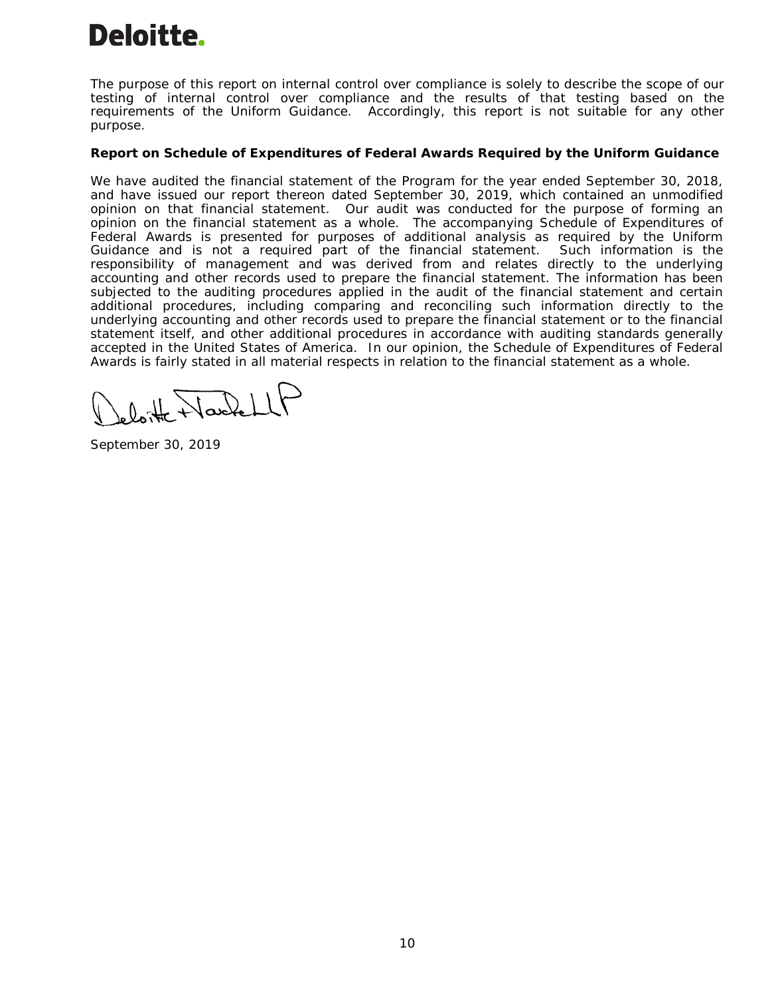The purpose of this report on internal control over compliance is solely to describe the scope of our testing of internal control over compliance and the results of that testing based on the requirements of the Uniform Guidance. Accordingly, this report is not suitable for any other purpose.

# **Report on Schedule of Expenditures of Federal Awards Required by the Uniform Guidance**

We have audited the financial statement of the Program for the year ended September 30, 2018, and have issued our report thereon dated September 30, 2019, which contained an unmodified opinion on that financial statement. Our audit was conducted for the purpose of forming an opinion on the financial statement as a whole. The accompanying Schedule of Expenditures of Federal Awards is presented for purposes of additional analysis as required by the Uniform Guidance and is not a required part of the financial statement. Such information is the responsibility of management and was derived from and relates directly to the underlying accounting and other records used to prepare the financial statement. The information has been subjected to the auditing procedures applied in the audit of the financial statement and certain additional procedures, including comparing and reconciling such information directly to the underlying accounting and other records used to prepare the financial statement or to the financial statement itself, and other additional procedures in accordance with auditing standards generally accepted in the United States of America. In our opinion, the Schedule of Expenditures of Federal Awards is fairly stated in all material respects in relation to the financial statement as a whole.

loite Nachel

September 30, 2019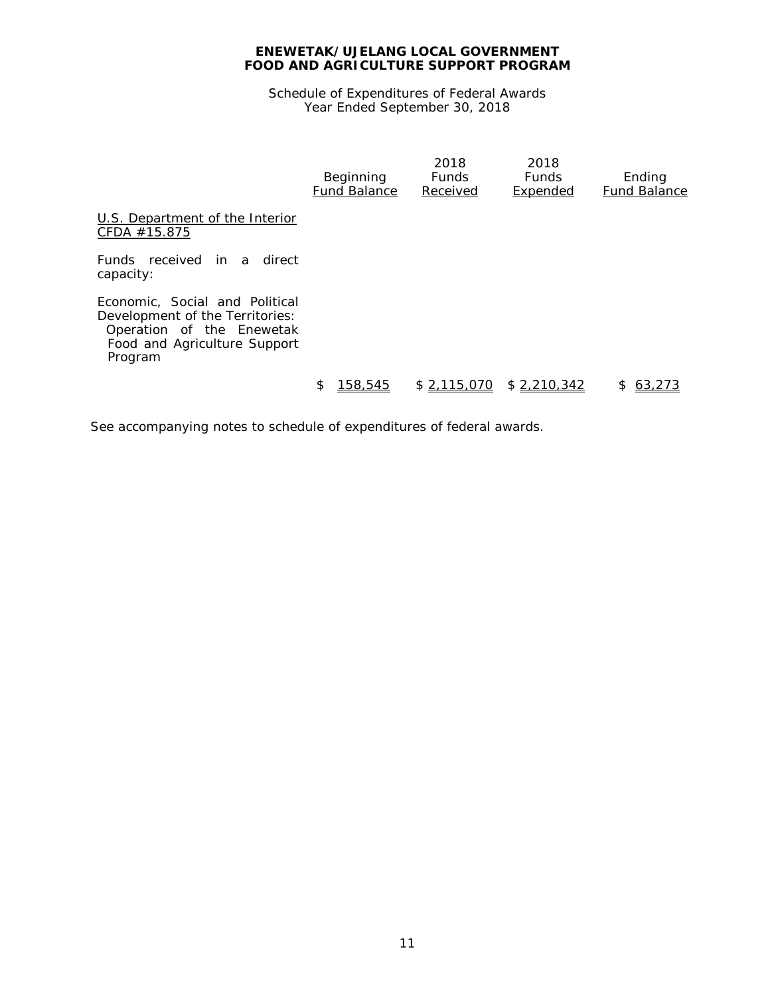Schedule of Expenditures of Federal Awards Year Ended September 30, 2018

|                                                                                                                                           | Beginning<br><b>Fund Balance</b> | 2018<br>Funds<br>Received | 2018<br>Funds<br><b>Expended</b> | Ending<br><b>Fund Balance</b> |
|-------------------------------------------------------------------------------------------------------------------------------------------|----------------------------------|---------------------------|----------------------------------|-------------------------------|
| U.S. Department of the Interior<br>CFDA $#15.875$                                                                                         |                                  |                           |                                  |                               |
| Funds received in a direct<br>capacity:                                                                                                   |                                  |                           |                                  |                               |
| Economic. Social and Political<br>Development of the Territories:<br>Operation of the Enewetak<br>Food and Agriculture Support<br>Program |                                  |                           |                                  |                               |
|                                                                                                                                           | \$<br><u>158,545</u>             | \$2,115,070               | \$2,210,342                      | 63.273<br>S.                  |

See accompanying notes to schedule of expenditures of federal awards.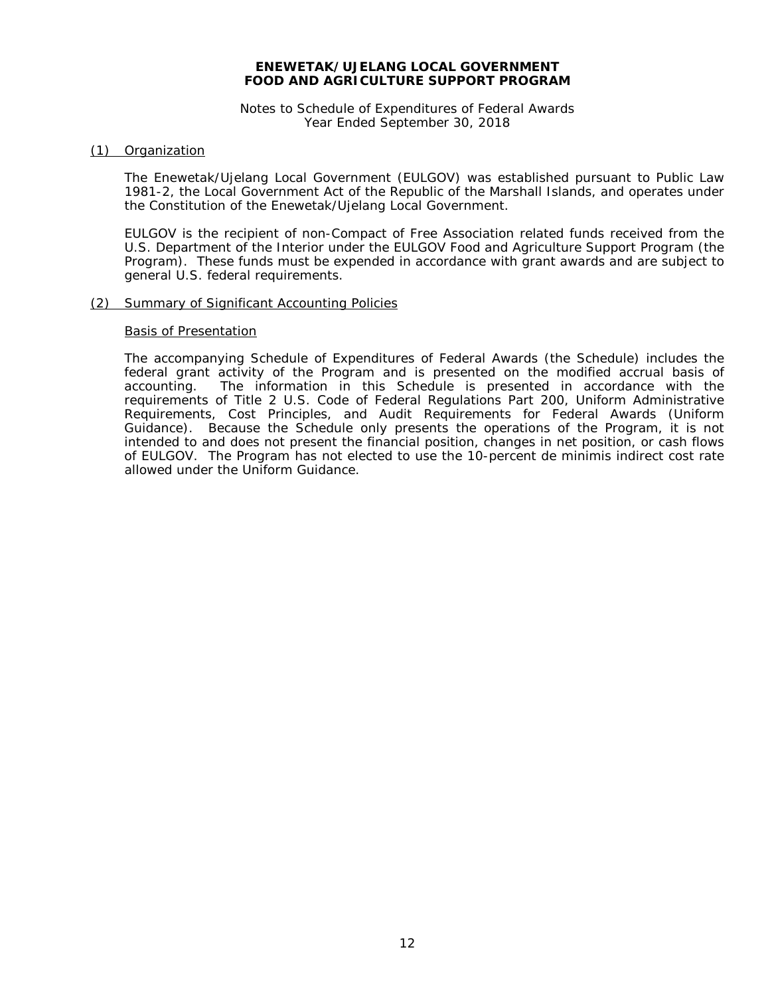Notes to Schedule of Expenditures of Federal Awards Year Ended September 30, 2018

#### (1) Organization

The Enewetak/Ujelang Local Government (EULGOV) was established pursuant to Public Law 1981-2, the Local Government Act of the Republic of the Marshall Islands, and operates under the Constitution of the Enewetak/Ujelang Local Government.

EULGOV is the recipient of non-Compact of Free Association related funds received from the U.S. Department of the Interior under the EULGOV Food and Agriculture Support Program (the Program). These funds must be expended in accordance with grant awards and are subject to general U.S. federal requirements.

#### (2) Summary of Significant Accounting Policies

#### Basis of Presentation

The accompanying Schedule of Expenditures of Federal Awards (the Schedule) includes the federal grant activity of the Program and is presented on the modified accrual basis of The information in this Schedule is presented in accordance with the requirements of Title 2 U.S. *Code of Federal Regulations* Part 200, *Uniform Administrative Requirements, Cost Principles, and Audit Requirements for Federal Awards* (Uniform Guidance). Because the Schedule only presents the operations of the Program, it is not intended to and does not present the financial position, changes in net position, or cash flows of EULGOV. The Program has not elected to use the 10-percent de minimis indirect cost rate allowed under the Uniform Guidance.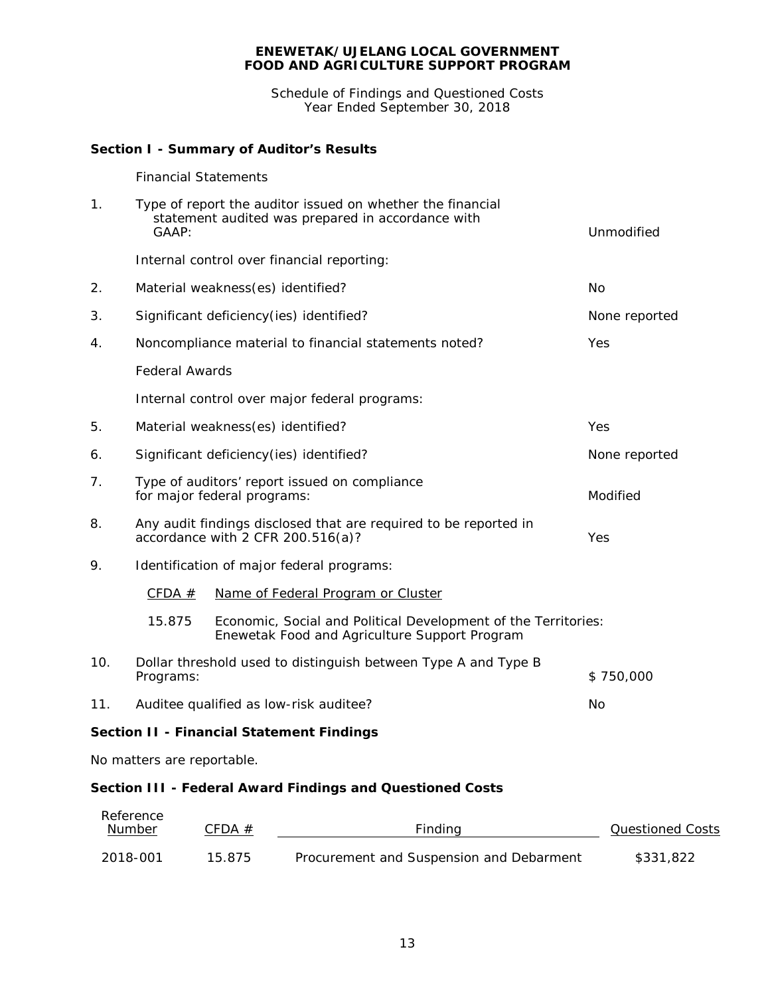Schedule of Findings and Questioned Costs Year Ended September 30, 2018

# **Section I - Summary of Auditor's Results**

# *Financial Statements*

| 1.  | Type of report the auditor issued on whether the financial<br>statement audited was prepared in accordance with<br>Unmodified<br>GAAP: |                                                                                                                 |               |  |  |
|-----|----------------------------------------------------------------------------------------------------------------------------------------|-----------------------------------------------------------------------------------------------------------------|---------------|--|--|
|     |                                                                                                                                        | Internal control over financial reporting:                                                                      |               |  |  |
| 2.  |                                                                                                                                        | Material weakness(es) identified?                                                                               | <b>No</b>     |  |  |
| 3.  |                                                                                                                                        | Significant deficiency(ies) identified?                                                                         | None reported |  |  |
| 4.  |                                                                                                                                        | Noncompliance material to financial statements noted?                                                           | Yes           |  |  |
|     | <b>Federal Awards</b>                                                                                                                  |                                                                                                                 |               |  |  |
|     | Internal control over major federal programs:                                                                                          |                                                                                                                 |               |  |  |
| 5.  |                                                                                                                                        | Material weakness(es) identified?                                                                               | Yes           |  |  |
| 6.  | Significant deficiency(ies) identified?<br>None reported                                                                               |                                                                                                                 |               |  |  |
| 7.  | Type of auditors' report issued on compliance<br>for major federal programs:<br>Modified                                               |                                                                                                                 |               |  |  |
| 8.  | Any audit findings disclosed that are required to be reported in<br>accordance with 2 CFR 200.516(a)?<br>Yes                           |                                                                                                                 |               |  |  |
| 9.  | Identification of major federal programs:                                                                                              |                                                                                                                 |               |  |  |
|     | CFDA $#$                                                                                                                               | Name of Federal Program or Cluster                                                                              |               |  |  |
|     | 15.875                                                                                                                                 | Economic, Social and Political Development of the Territories:<br>Enewetak Food and Agriculture Support Program |               |  |  |
| 10. | Dollar threshold used to distinguish between Type A and Type B<br>\$750,000<br>Programs:                                               |                                                                                                                 |               |  |  |
| 11. | Auditee qualified as low-risk auditee?<br>No                                                                                           |                                                                                                                 |               |  |  |
|     |                                                                                                                                        | <b>Section II - Financial Statement Findings</b>                                                                |               |  |  |

No matters are reportable.

# **Section III - Federal Award Findings and Questioned Costs**

| Reference<br>Number | CFDA # | Finding                                  | Questioned Costs |
|---------------------|--------|------------------------------------------|------------------|
| 2018-001            | 15.875 | Procurement and Suspension and Debarment | \$331,822        |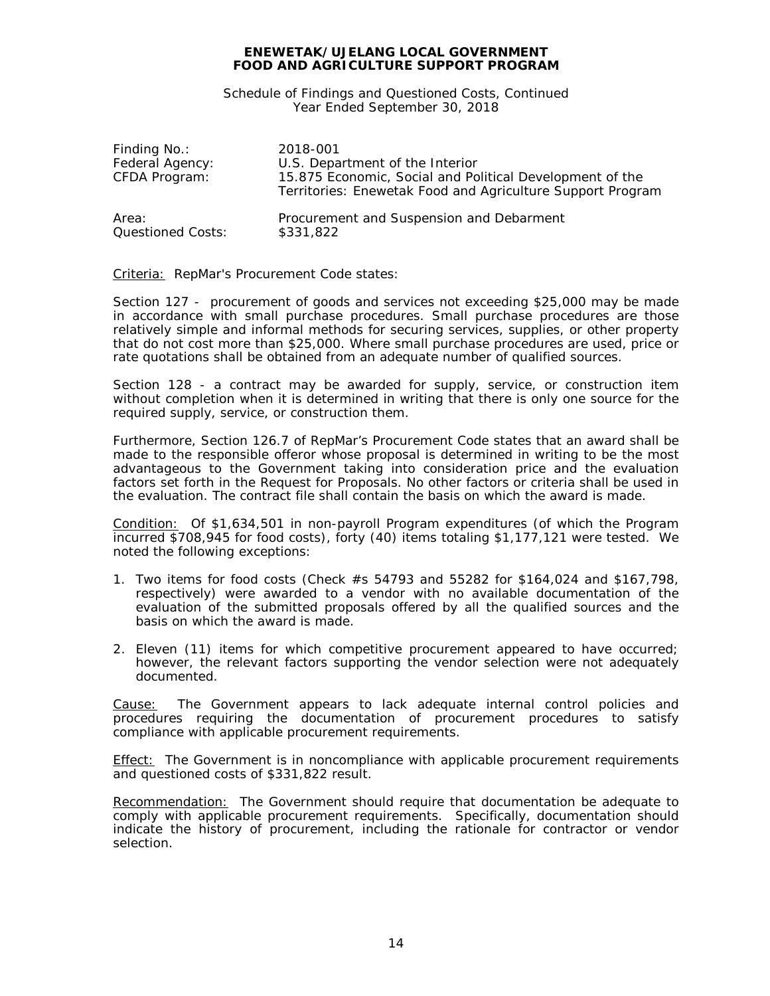Schedule of Findings and Questioned Costs, Continued Year Ended September 30, 2018

| Finding No.:<br>Federal Agency:<br>CFDA Program: | 2018-001<br>U.S. Department of the Interior<br>15.875 Economic, Social and Political Development of the<br>Territories: Enewetak Food and Agriculture Support Program |
|--------------------------------------------------|-----------------------------------------------------------------------------------------------------------------------------------------------------------------------|
| Area:                                            | Procurement and Suspension and Debarment                                                                                                                              |
| Questioned Costs:                                | \$331,822                                                                                                                                                             |

Criteria: RepMar's Procurement Code states:

Section 127 - procurement of goods and services not exceeding \$25,000 may be made in accordance with small purchase procedures. Small purchase procedures are those relatively simple and informal methods for securing services, supplies, or other property that do not cost more than \$25,000. Where small purchase procedures are used, price or rate quotations shall be obtained from an adequate number of qualified sources.

Section 128 - a contract may be awarded for supply, service, or construction item without completion when it is determined in writing that there is only one source for the required supply, service, or construction them.

Furthermore, Section 126.7 of RepMar's Procurement Code states that an award shall be made to the responsible offeror whose proposal is determined in writing to be the most advantageous to the Government taking into consideration price and the evaluation factors set forth in the Request for Proposals. No other factors or criteria shall be used in the evaluation. The contract file shall contain the basis on which the award is made.

Condition: Of \$1,634,501 in non-payroll Program expenditures (of which the Program incurred \$708,945 for food costs), forty (40) items totaling \$1,177,121 were tested. We noted the following exceptions:

- 1. Two items for food costs (Check #s 54793 and 55282 for \$164,024 and \$167,798, respectively) were awarded to a vendor with no available documentation of the evaluation of the submitted proposals offered by all the qualified sources and the basis on which the award is made.
- 2. Eleven (11) items for which competitive procurement appeared to have occurred; however, the relevant factors supporting the vendor selection were not adequately documented.

Cause: The Government appears to lack adequate internal control policies and procedures requiring the documentation of procurement procedures to satisfy compliance with applicable procurement requirements.

**Effect:** The Government is in noncompliance with applicable procurement requirements and questioned costs of \$331,822 result.

Recommendation: The Government should require that documentation be adequate to comply with applicable procurement requirements. Specifically, documentation should indicate the history of procurement, including the rationale for contractor or vendor selection.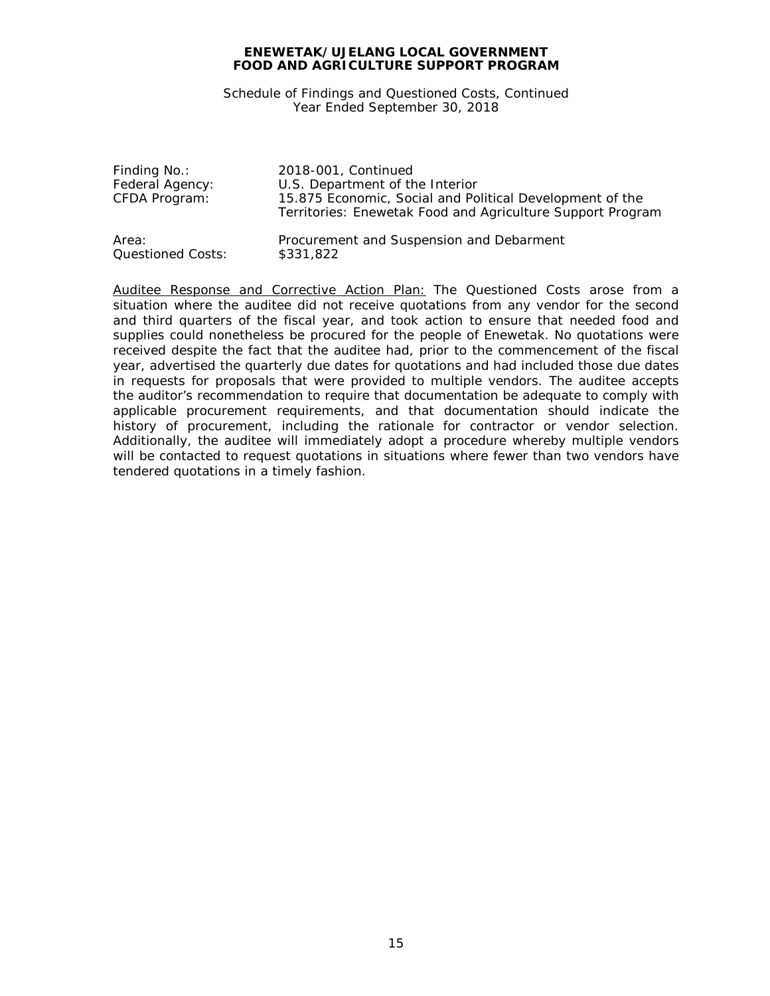Schedule of Findings and Questioned Costs, Continued Year Ended September 30, 2018

| Finding No.:<br>Federal Agency:<br>CFDA Program: | 2018-001, Continued<br>U.S. Department of the Interior<br>15.875 Economic, Social and Political Development of the<br>Territories: Enewetak Food and Agriculture Support Program |
|--------------------------------------------------|----------------------------------------------------------------------------------------------------------------------------------------------------------------------------------|
| Area:                                            | Procurement and Suspension and Debarment                                                                                                                                         |
| <b>Questioned Costs:</b>                         | \$331,822                                                                                                                                                                        |

Auditee Response and Corrective Action Plan: The Questioned Costs arose from a situation where the auditee did not receive quotations from any vendor for the second and third quarters of the fiscal year, and took action to ensure that needed food and supplies could nonetheless be procured for the people of Enewetak. No quotations were received despite the fact that the auditee had, prior to the commencement of the fiscal year, advertised the quarterly due dates for quotations and had included those due dates in requests for proposals that were provided to multiple vendors. The auditee accepts the auditor's recommendation to require that documentation be adequate to comply with applicable procurement requirements, and that documentation should indicate the history of procurement, including the rationale for contractor or vendor selection. Additionally, the auditee will immediately adopt a procedure whereby multiple vendors will be contacted to request quotations in situations where fewer than two vendors have tendered quotations in a timely fashion.